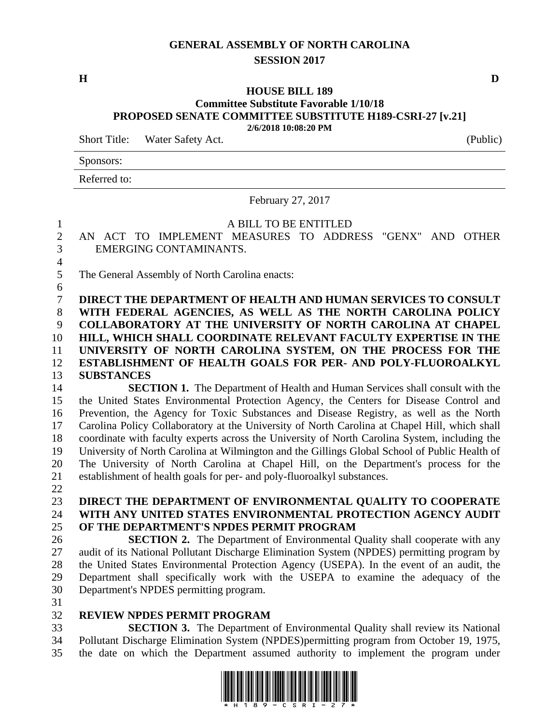## **GENERAL ASSEMBLY OF NORTH CAROLINA SESSION 2017**

**H D**

#### **HOUSE BILL 189 Committee Substitute Favorable 1/10/18 PROPOSED SENATE COMMITTEE SUBSTITUTE H189-CSRI-27 [v.21] 2/6/2018 10:08:20 PM**

Short Title: Water Safety Act. (Public)

Sponsors:

Referred to:

February 27, 2017

#### A BILL TO BE ENTITLED

 AN ACT TO IMPLEMENT MEASURES TO ADDRESS "GENX" AND OTHER EMERGING CONTAMINANTS. 

The General Assembly of North Carolina enacts:

 **DIRECT THE DEPARTMENT OF HEALTH AND HUMAN SERVICES TO CONSULT WITH FEDERAL AGENCIES, AS WELL AS THE NORTH CAROLINA POLICY COLLABORATORY AT THE UNIVERSITY OF NORTH CAROLINA AT CHAPEL HILL, WHICH SHALL COORDINATE RELEVANT FACULTY EXPERTISE IN THE UNIVERSITY OF NORTH CAROLINA SYSTEM, ON THE PROCESS FOR THE ESTABLISHMENT OF HEALTH GOALS FOR PER- AND POLY-FLUOROALKYL SUBSTANCES**

 **SECTION 1.** The Department of Health and Human Services shall consult with the the United States Environmental Protection Agency, the Centers for Disease Control and Prevention, the Agency for Toxic Substances and Disease Registry, as well as the North Carolina Policy Collaboratory at the University of North Carolina at Chapel Hill, which shall coordinate with faculty experts across the University of North Carolina System, including the University of North Carolina at Wilmington and the Gillings Global School of Public Health of The University of North Carolina at Chapel Hill, on the Department's process for the establishment of health goals for per- and poly-fluoroalkyl substances.

### **DIRECT THE DEPARTMENT OF ENVIRONMENTAL QUALITY TO COOPERATE WITH ANY UNITED STATES ENVIRONMENTAL PROTECTION AGENCY AUDIT OF THE DEPARTMENT'S NPDES PERMIT PROGRAM**

 **SECTION 2.** The Department of Environmental Quality shall cooperate with any audit of its National Pollutant Discharge Elimination System (NPDES) permitting program by the United States Environmental Protection Agency (USEPA). In the event of an audit, the Department shall specifically work with the USEPA to examine the adequacy of the Department's NPDES permitting program.

### **REVIEW NPDES PERMIT PROGRAM**

 **SECTION 3.** The Department of Environmental Quality shall review its National Pollutant Discharge Elimination System (NPDES)permitting program from October 19, 1975, the date on which the Department assumed authority to implement the program under

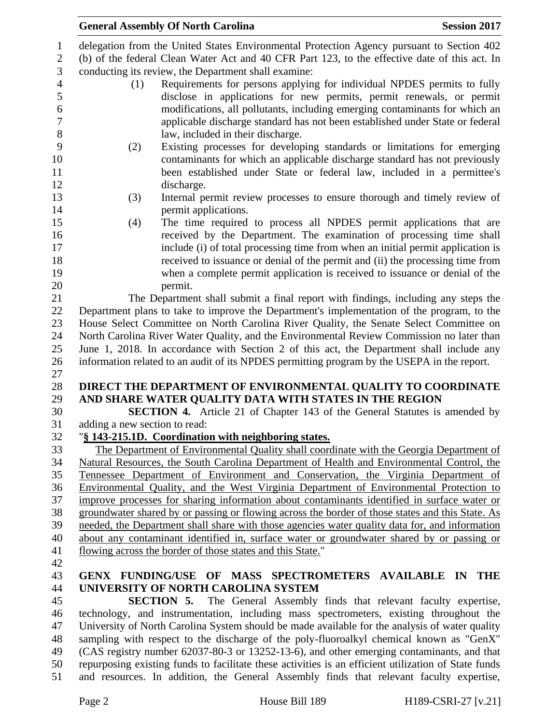| <b>General Assembly Of North Carolina</b>                  | <b>Session 2017</b>                                                                                                                                                        |
|------------------------------------------------------------|----------------------------------------------------------------------------------------------------------------------------------------------------------------------------|
|                                                            | delegation from the United States Environmental Protection Agency pursuant to Section 402                                                                                  |
|                                                            | (b) of the federal Clean Water Act and 40 CFR Part 123, to the effective date of this act. In                                                                              |
| conducting its review, the Department shall examine:       |                                                                                                                                                                            |
| (1)                                                        | Requirements for persons applying for individual NPDES permits to fully                                                                                                    |
|                                                            | disclose in applications for new permits, permit renewals, or permit                                                                                                       |
|                                                            | modifications, all pollutants, including emerging contaminants for which an                                                                                                |
|                                                            | applicable discharge standard has not been established under State or federal                                                                                              |
| law, included in their discharge.                          |                                                                                                                                                                            |
| (2)                                                        | Existing processes for developing standards or limitations for emerging                                                                                                    |
|                                                            | contaminants for which an applicable discharge standard has not previously                                                                                                 |
|                                                            | been established under State or federal law, included in a permittee's                                                                                                     |
| discharge.                                                 |                                                                                                                                                                            |
| (3)                                                        | Internal permit review processes to ensure thorough and timely review of                                                                                                   |
| permit applications.                                       |                                                                                                                                                                            |
| (4)                                                        | The time required to process all NPDES permit applications that are                                                                                                        |
|                                                            | received by the Department. The examination of processing time shall                                                                                                       |
|                                                            | include (i) of total processing time from when an initial permit application is                                                                                            |
|                                                            | received to issuance or denial of the permit and (ii) the processing time from                                                                                             |
| permit.                                                    | when a complete permit application is received to issuance or denial of the                                                                                                |
|                                                            | The Department shall submit a final report with findings, including any steps the                                                                                          |
|                                                            | Department plans to take to improve the Department's implementation of the program, to the                                                                                 |
|                                                            | House Select Committee on North Carolina River Quality, the Senate Select Committee on                                                                                     |
|                                                            | North Carolina River Water Quality, and the Environmental Review Commission no later than                                                                                  |
|                                                            | June 1, 2018. In accordance with Section 2 of this act, the Department shall include any                                                                                   |
|                                                            | information related to an audit of its NPDES permitting program by the USEPA in the report.                                                                                |
|                                                            |                                                                                                                                                                            |
|                                                            | DIRECT THE DEPARTMENT OF ENVIRONMENTAL QUALITY TO COORDINATE                                                                                                               |
| AND SHARE WATER QUALITY DATA WITH STATES IN THE REGION     |                                                                                                                                                                            |
|                                                            | <b>SECTION 4.</b> Article 21 of Chapter 143 of the General Statutes is amended by                                                                                          |
| adding a new section to read:                              |                                                                                                                                                                            |
| "§ 143-215.1D. Coordination with neighboring states.       |                                                                                                                                                                            |
|                                                            | The Department of Environmental Quality shall coordinate with the Georgia Department of                                                                                    |
|                                                            | Natural Resources, the South Carolina Department of Health and Environmental Control, the                                                                                  |
|                                                            | Tennessee Department of Environment and Conservation, the Virginia Department of<br>Environmental Quality, and the West Virginia Department of Environmental Protection to |
|                                                            | improve processes for sharing information about contaminants identified in surface water or                                                                                |
|                                                            | groundwater shared by or passing or flowing across the border of those states and this State. As                                                                           |
|                                                            | needed, the Department shall share with those agencies water quality data for, and information                                                                             |
|                                                            | about any contaminant identified in, surface water or groundwater shared by or passing or                                                                                  |
| flowing across the border of those states and this State." |                                                                                                                                                                            |
|                                                            |                                                                                                                                                                            |
|                                                            | GENX FUNDING/USE OF MASS SPECTROMETERS AVAILABLE IN THE                                                                                                                    |
| UNIVERSITY OF NORTH CAROLINA SYSTEM                        |                                                                                                                                                                            |
|                                                            | <b>SECTION 5.</b> The General Assembly finds that relevant faculty expertise,                                                                                              |
|                                                            | technology, and instrumentation, including mass spectrometers, existing throughout the                                                                                     |
|                                                            | University of North Carolina System should be made available for the analysis of water quality                                                                             |
|                                                            | sampling with respect to the discharge of the poly-fluoroalkyl chemical known as "GenX"                                                                                    |
|                                                            | (CAS registry number 62037-80-3 or 13252-13-6), and other emerging contaminants, and that                                                                                  |
|                                                            | repurposing existing funds to facilitate these activities is an efficient utilization of State funds                                                                       |
|                                                            | and resources. In addition, the General Assembly finds that relevant faculty expertise,                                                                                    |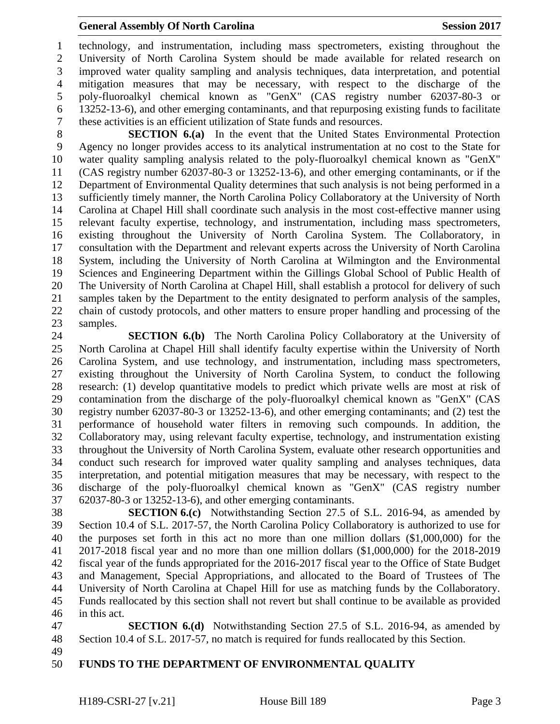technology, and instrumentation, including mass spectrometers, existing throughout the University of North Carolina System should be made available for related research on improved water quality sampling and analysis techniques, data interpretation, and potential mitigation measures that may be necessary, with respect to the discharge of the poly-fluoroalkyl chemical known as "GenX" (CAS registry number 62037-80-3 or 13252-13-6), and other emerging contaminants, and that repurposing existing funds to facilitate these activities is an efficient utilization of State funds and resources.

 **SECTION 6.(a)** In the event that the United States Environmental Protection Agency no longer provides access to its analytical instrumentation at no cost to the State for water quality sampling analysis related to the poly-fluoroalkyl chemical known as "GenX" (CAS registry number 62037-80-3 or 13252-13-6), and other emerging contaminants, or if the Department of Environmental Quality determines that such analysis is not being performed in a sufficiently timely manner, the North Carolina Policy Collaboratory at the University of North Carolina at Chapel Hill shall coordinate such analysis in the most cost-effective manner using relevant faculty expertise, technology, and instrumentation, including mass spectrometers, existing throughout the University of North Carolina System. The Collaboratory, in consultation with the Department and relevant experts across the University of North Carolina System, including the University of North Carolina at Wilmington and the Environmental Sciences and Engineering Department within the Gillings Global School of Public Health of The University of North Carolina at Chapel Hill, shall establish a protocol for delivery of such samples taken by the Department to the entity designated to perform analysis of the samples, chain of custody protocols, and other matters to ensure proper handling and processing of the samples.

 **SECTION 6.(b)** The North Carolina Policy Collaboratory at the University of North Carolina at Chapel Hill shall identify faculty expertise within the University of North Carolina System, and use technology, and instrumentation, including mass spectrometers, existing throughout the University of North Carolina System, to conduct the following research: (1) develop quantitative models to predict which private wells are most at risk of contamination from the discharge of the poly-fluoroalkyl chemical known as "GenX" (CAS registry number 62037-80-3 or 13252-13-6), and other emerging contaminants; and (2) test the performance of household water filters in removing such compounds. In addition, the Collaboratory may, using relevant faculty expertise, technology, and instrumentation existing throughout the University of North Carolina System, evaluate other research opportunities and conduct such research for improved water quality sampling and analyses techniques, data interpretation, and potential mitigation measures that may be necessary, with respect to the discharge of the poly-fluoroalkyl chemical known as "GenX" (CAS registry number 62037-80-3 or 13252-13-6), and other emerging contaminants.

 **SECTION 6.(c)** Notwithstanding Section 27.5 of S.L. 2016-94, as amended by Section 10.4 of S.L. 2017-57, the North Carolina Policy Collaboratory is authorized to use for the purposes set forth in this act no more than one million dollars (\$1,000,000) for the 2017-2018 fiscal year and no more than one million dollars (\$1,000,000) for the 2018-2019 fiscal year of the funds appropriated for the 2016-2017 fiscal year to the Office of State Budget and Management, Special Appropriations, and allocated to the Board of Trustees of The University of North Carolina at Chapel Hill for use as matching funds by the Collaboratory. Funds reallocated by this section shall not revert but shall continue to be available as provided in this act.

 **SECTION 6.(d)** Notwithstanding Section 27.5 of S.L. 2016-94, as amended by Section 10.4 of S.L. 2017-57, no match is required for funds reallocated by this Section.

# **FUNDS TO THE DEPARTMENT OF ENVIRONMENTAL QUALITY**